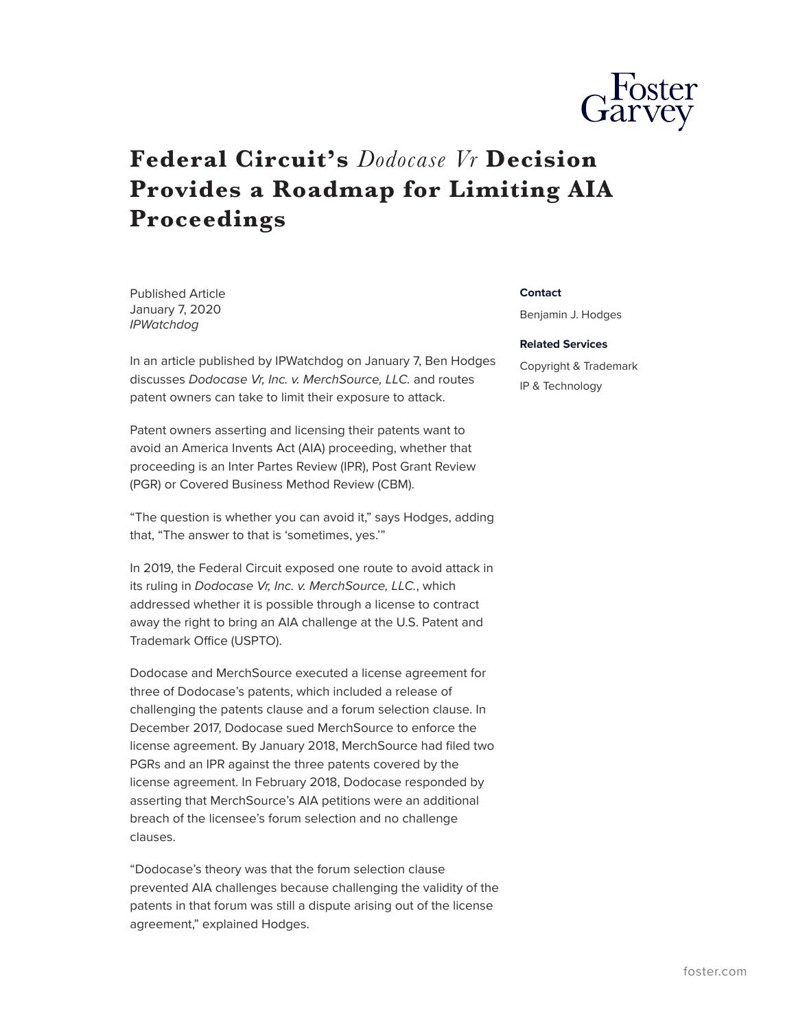

## **Federal Circuit's** *Dodocase Vr* **Decision Provides a Roadmap for Limiting AIA Proceedings**

Published Article January 7, 2020 *IPWatchdog*

In an article published by IPWatchdog on January 7, Ben Hodges discusses *Dodocase Vr, Inc. v. MerchSource, LLC.* and routes patent owners can take to limit their exposure to attack.

Patent owners asserting and licensing their patents want to avoid an America Invents Act (AIA) proceeding, whether that proceeding is an Inter Partes Review (IPR), Post Grant Review (PGR) or Covered Business Method Review (CBM).

"The question is whether you can avoid it," says Hodges, adding that, "The answer to that is 'sometimes, yes.'"

In 2019, the Federal Circuit exposed one route to avoid attack in its ruling in *Dodocase Vr, Inc. v. MerchSource, LLC.*, which addressed whether it is possible through a license to contract away the right to bring an AIA challenge at the U.S. Patent and Trademark Office (USPTO).

Dodocase and MerchSource executed a license agreement for three of Dodocase's patents, which included a release of challenging the patents clause and a forum selection clause. In December 2017, Dodocase sued MerchSource to enforce the license agreement. By January 2018, MerchSource had filed two PGRs and an IPR against the three patents covered by the license agreement. In February 2018, Dodocase responded by asserting that MerchSource's AIA petitions were an additional breach of the licensee's forum selection and no challenge clauses.

"Dodocase's theory was that the forum selection clause prevented AIA challenges because challenging the validity of the patents in that forum was still a dispute arising out of the license agreement," explained Hodges.

## **Contact**

Benjamin J. Hodges

## **Related Services**

Copyright & Trademark IP & Technology